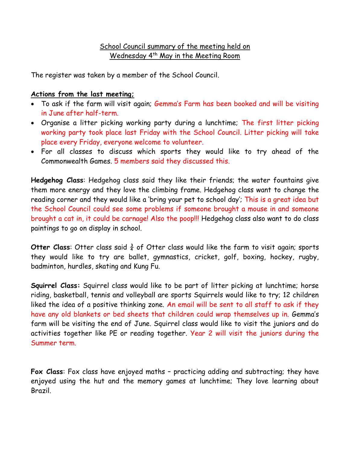## School Council summary of the meeting held on Wednesday 4<sup>th</sup> May in the Meeting Room

The register was taken by a member of the School Council.

## **Actions from the last meeting;**

- To ask if the farm will visit again; Gemma's Farm has been booked and will be visiting in June after half-term.
- Organise a litter picking working party during a lunchtime; The first litter picking working party took place last Friday with the School Council. Litter picking will take place every Friday, everyone welcome to volunteer.
- For all classes to discuss which sports they would like to try ahead of the Commonwealth Games. 5 members said they discussed this.

**Hedgehog Class**: Hedgehog class said they like their friends; the water fountains give them more energy and they love the climbing frame. Hedgehog class want to change the reading corner and they would like a 'bring your pet to school day'; This is a great idea but the School Council could see some problems if someone brought a mouse in and someone brought a cat in, it could be carnage! Also the poop!!! Hedgehog class also want to do class paintings to go on display in school.

**Otter Class:** Otter class said  $\frac{3}{4}$  of Otter class would like the farm to visit again; sports they would like to try are ballet, gymnastics, cricket, golf, boxing, hockey, rugby, badminton, hurdles, skating and Kung Fu.

**Squirrel Class:** Squirrel class would like to be part of litter picking at lunchtime; horse riding, basketball, tennis and volleyball are sports Squirrels would like to try; 12 children liked the idea of a positive thinking zone. An email will be sent to all staff to ask if they have any old blankets or bed sheets that children could wrap themselves up in. Gemma's farm will be visiting the end of June. Squirrel class would like to visit the juniors and do activities together like PE or reading together. Year 2 will visit the juniors during the Summer term.

**Fox Class**: Fox class have enjoyed maths – practicing adding and subtracting; they have enjoyed using the hut and the memory games at lunchtime; They love learning about Brazil.